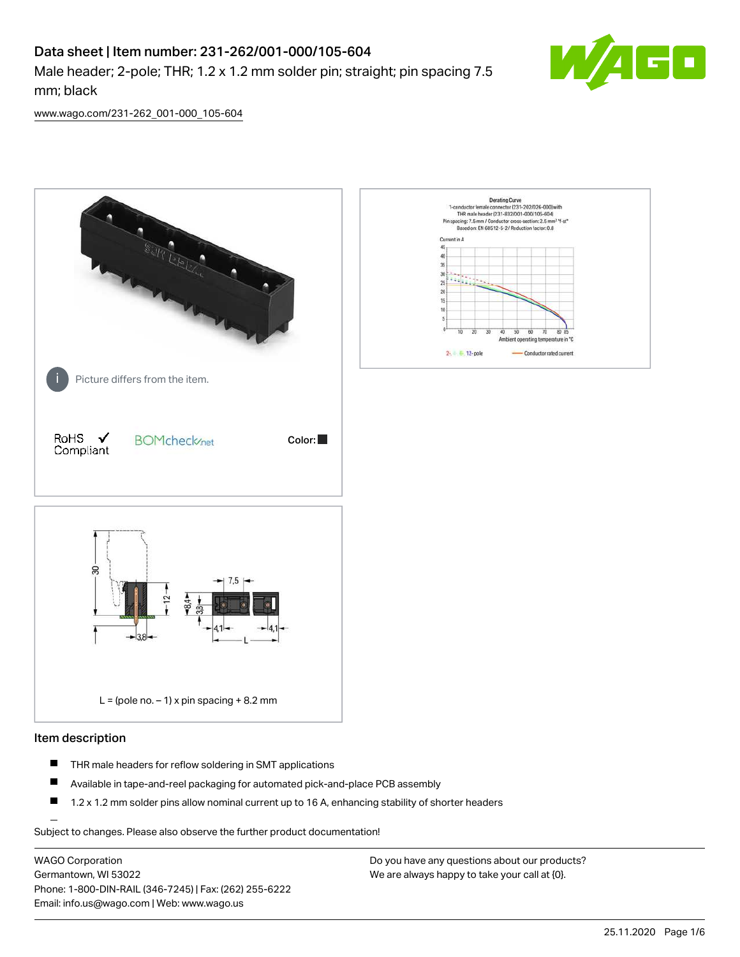# Data sheet | Item number: 231-262/001-000/105-604

Male header; 2-pole; THR; 1.2 x 1.2 mm solder pin; straight; pin spacing 7.5 mm; black



[www.wago.com/231-262\\_001-000\\_105-604](http://www.wago.com/231-262_001-000_105-604)



#### Item description

- $\blacksquare$ THR male headers for reflow soldering in SMT applications
- $\blacksquare$ Available in tape-and-reel packaging for automated pick-and-place PCB assembly
- $\blacksquare$ 1.2 x 1.2 mm solder pins allow nominal current up to 16 A, enhancing stability of shorter headers

Subject to changes. Please also observe the further product documentation!

WAGO Corporation Germantown, WI 53022 Phone: 1-800-DIN-RAIL (346-7245) | Fax: (262) 255-6222 Email: info.us@wago.com | Web: www.wago.us

Do you have any questions about our products? We are always happy to take your call at {0}.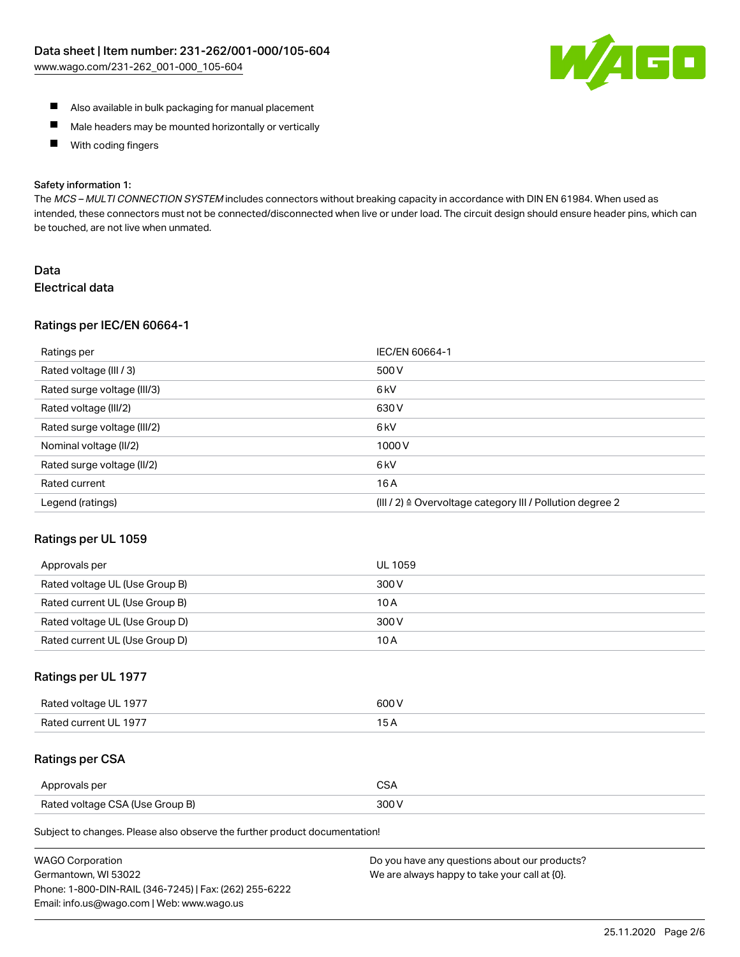

- Also available in bulk packaging for manual placement
- $\blacksquare$ Male headers may be mounted horizontally or vertically
- With coding fingers  $\blacksquare$

#### Safety information 1:

The MCS-MULTI CONNECTION SYSTEM includes connectors without breaking capacity in accordance with DIN EN 61984. When used as intended, these connectors must not be connected/disconnected when live or under load. The circuit design should ensure header pins, which can be touched, are not live when unmated.

# Data Electrical data

#### Ratings per IEC/EN 60664-1

| Ratings per                 | IEC/EN 60664-1                                                        |
|-----------------------------|-----------------------------------------------------------------------|
| Rated voltage (III / 3)     | 500 V                                                                 |
| Rated surge voltage (III/3) | 6 <sub>k</sub> V                                                      |
| Rated voltage (III/2)       | 630 V                                                                 |
| Rated surge voltage (III/2) | 6 <sub>k</sub> V                                                      |
| Nominal voltage (II/2)      | 1000V                                                                 |
| Rated surge voltage (II/2)  | 6 <sub>k</sub> V                                                      |
| Rated current               | 16A                                                                   |
| Legend (ratings)            | $(III / 2)$ $\triangle$ Overvoltage category III / Pollution degree 2 |

#### Ratings per UL 1059

| Approvals per                  | UL 1059 |
|--------------------------------|---------|
| Rated voltage UL (Use Group B) | 300 V   |
| Rated current UL (Use Group B) | 10 A    |
| Rated voltage UL (Use Group D) | 300 V   |
| Rated current UL (Use Group D) | 10 A    |

# Ratings per UL 1977

| Rated voltage UL 1977 | 600 V         |
|-----------------------|---------------|
| Rated current UL 1977 | $\sim$ $\sim$ |

# Ratings per CSA

| Approvals per                   | ົ |
|---------------------------------|---|
| Rated voltage CSA (Use Group B) |   |

Subject to changes. Please also observe the further product documentation!

| <b>WAGO Corporation</b>                                | Do you have any questions about our products? |
|--------------------------------------------------------|-----------------------------------------------|
| Germantown, WI 53022                                   | We are always happy to take your call at {0}. |
| Phone: 1-800-DIN-RAIL (346-7245)   Fax: (262) 255-6222 |                                               |
| Email: info.us@wago.com   Web: www.wago.us             |                                               |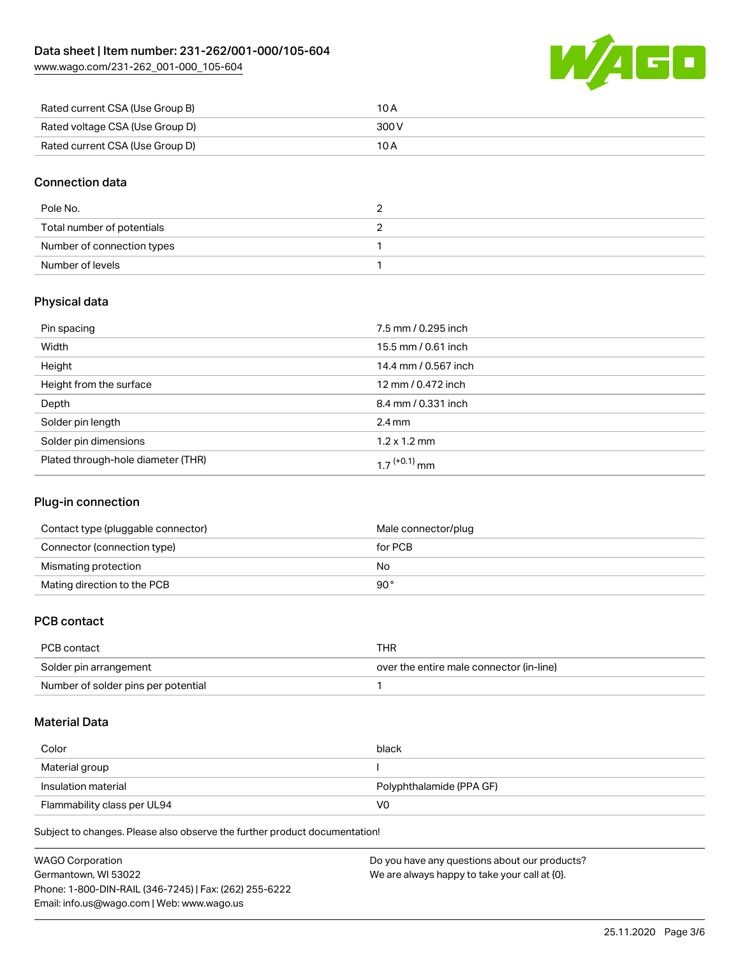[www.wago.com/231-262\\_001-000\\_105-604](http://www.wago.com/231-262_001-000_105-604)



| Rated current CSA (Use Group B) | 10 A  |
|---------------------------------|-------|
| Rated voltage CSA (Use Group D) | 300 V |
| Rated current CSA (Use Group D) | 10 A  |

# Connection data

| Pole No.                   | - |
|----------------------------|---|
| Total number of potentials |   |
| Number of connection types |   |
| Number of levels           |   |

# Physical data

| Pin spacing                        | 7.5 mm / 0.295 inch  |
|------------------------------------|----------------------|
| Width                              | 15.5 mm / 0.61 inch  |
| Height                             | 14.4 mm / 0.567 inch |
| Height from the surface            | 12 mm / 0.472 inch   |
| Depth                              | 8.4 mm / 0.331 inch  |
| Solder pin length                  | $2.4 \,\mathrm{mm}$  |
| Solder pin dimensions              | $1.2 \times 1.2$ mm  |
| Plated through-hole diameter (THR) | 1 7 $(+0.1)$ mm      |

# Plug-in connection

| Contact type (pluggable connector) | Male connector/plug |
|------------------------------------|---------------------|
| Connector (connection type)        | for PCB             |
| Mismating protection               | No                  |
| Mating direction to the PCB        | 90°                 |

# PCB contact

| PCB contact                         | THR                                      |
|-------------------------------------|------------------------------------------|
| Solder pin arrangement              | over the entire male connector (in-line) |
| Number of solder pins per potential |                                          |

#### Material Data

| Color                       | black                    |
|-----------------------------|--------------------------|
| Material group              |                          |
| Insulation material         | Polyphthalamide (PPA GF) |
| Flammability class per UL94 | VO                       |

Subject to changes. Please also observe the further product documentation!

| <b>WAGO Corporation</b>                                | Do you have any questions about our products? |
|--------------------------------------------------------|-----------------------------------------------|
| Germantown, WI 53022                                   | We are always happy to take your call at {0}. |
| Phone: 1-800-DIN-RAIL (346-7245)   Fax: (262) 255-6222 |                                               |
| Email: info.us@wago.com   Web: www.wago.us             |                                               |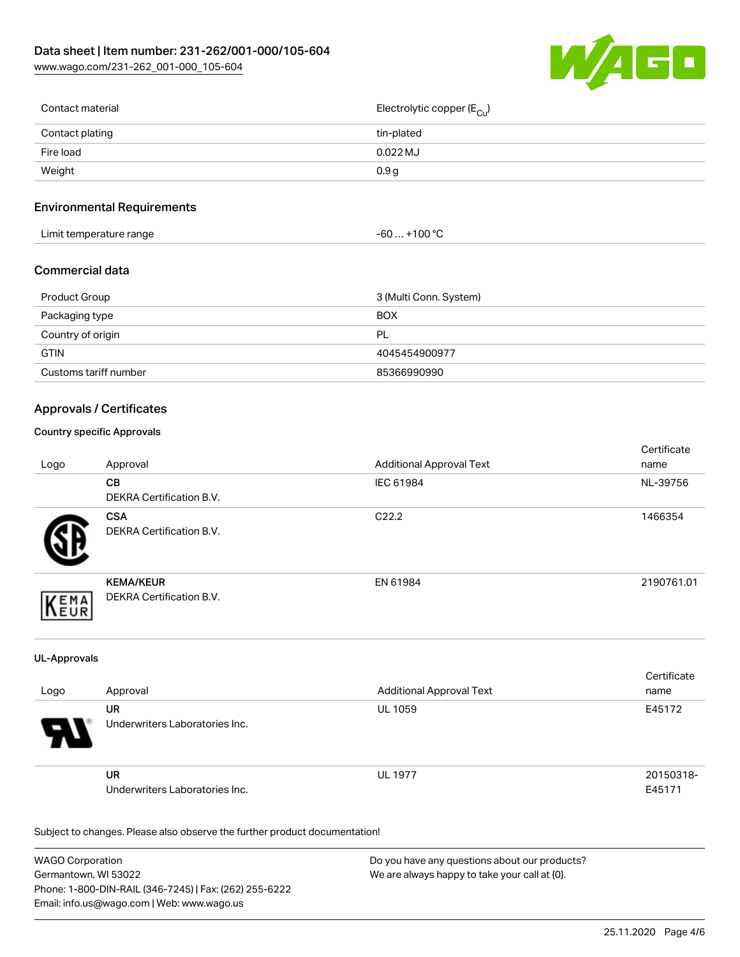

| Contact material | Electrolytic copper (E <sub>Cu</sub> ) |
|------------------|----------------------------------------|
| Contact plating  | tin-plated                             |
| Fire load        | $0.022$ MJ                             |
| Weight           | 0.9 <sub>g</sub>                       |
|                  |                                        |

# Environmental Requirements

| Limit temperature range | $+100 °C$<br>-60  > |
|-------------------------|---------------------|
|-------------------------|---------------------|

# Commercial data

| Product Group         | 3 (Multi Conn. System) |  |
|-----------------------|------------------------|--|
| Packaging type        | <b>BOX</b>             |  |
| Country of origin     | PL                     |  |
| <b>GTIN</b>           | 4045454900977          |  |
| Customs tariff number | 85366990990            |  |

# Approvals / Certificates

#### Country specific Approvals

| Logo       | Approval                                            | <b>Additional Approval Text</b> | Certificate<br>name |
|------------|-----------------------------------------------------|---------------------------------|---------------------|
|            | CВ<br><b>DEKRA Certification B.V.</b>               | IEC 61984                       | NL-39756            |
|            | <b>CSA</b><br><b>DEKRA Certification B.V.</b>       | C <sub>22.2</sub>               | 1466354             |
| EMA<br>FUR | <b>KEMA/KEUR</b><br><b>DEKRA Certification B.V.</b> | EN 61984                        | 2190761.01          |

#### UL-Approvals

| Logo | Approval                                    | <b>Additional Approval Text</b> | Certificate<br>name |
|------|---------------------------------------------|---------------------------------|---------------------|
| Э.   | UR<br>Underwriters Laboratories Inc.        | <b>UL 1059</b>                  | E45172              |
|      | <b>UR</b><br>Underwriters Laboratories Inc. | <b>UL 1977</b>                  | 20150318-<br>E45171 |

Subject to changes. Please also observe the further product documentation!

| <b>WAGO Corporation</b>                                | Do you have any questions about our products? |
|--------------------------------------------------------|-----------------------------------------------|
| Germantown, WI 53022                                   | We are always happy to take your call at {0}. |
| Phone: 1-800-DIN-RAIL (346-7245)   Fax: (262) 255-6222 |                                               |
| Email: info.us@wago.com   Web: www.wago.us             |                                               |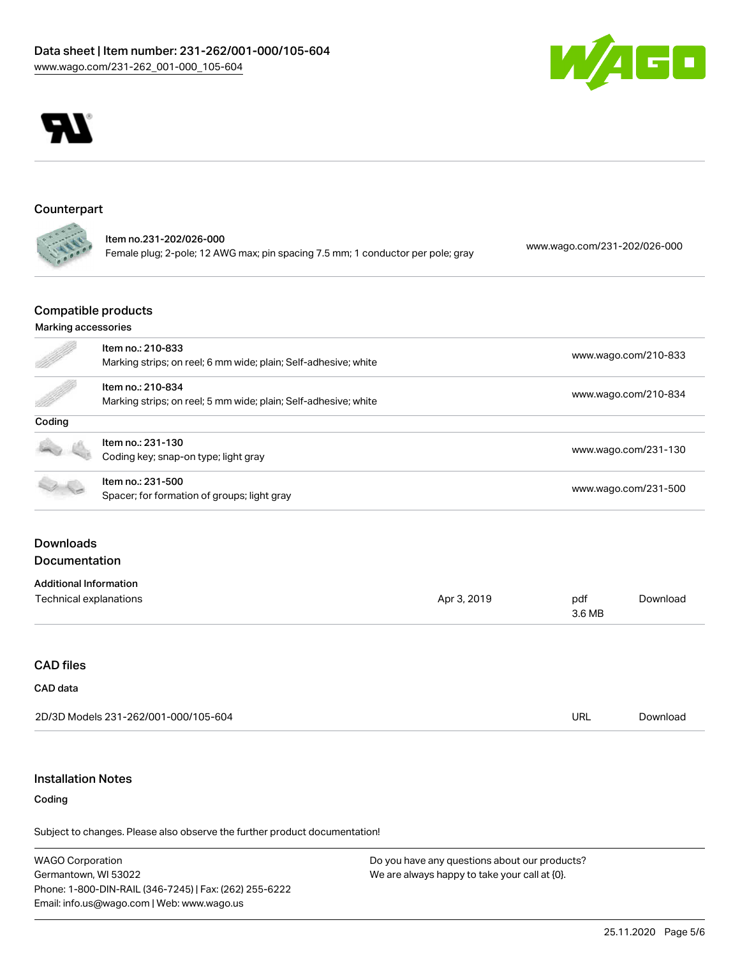



#### Counterpart

|                | ltem no.231-202/026-000                                                         | www.wago.com/231-202/026-000 |
|----------------|---------------------------------------------------------------------------------|------------------------------|
| <b>CALL OF</b> | Female plug; 2-pole; 12 AWG max; pin spacing 7.5 mm; 1 conductor per pole; gray |                              |

#### Compatible products

#### Marking accessories

|                               | Item no.: 210-833                                               |             |                      |                      |  |
|-------------------------------|-----------------------------------------------------------------|-------------|----------------------|----------------------|--|
|                               | Marking strips; on reel; 6 mm wide; plain; Self-adhesive; white |             |                      | www.wago.com/210-833 |  |
|                               | Item no.: 210-834                                               |             |                      |                      |  |
|                               | Marking strips; on reel; 5 mm wide; plain; Self-adhesive; white |             |                      | www.wago.com/210-834 |  |
| Coding                        |                                                                 |             |                      |                      |  |
|                               | Item no.: 231-130                                               |             | www.wago.com/231-130 |                      |  |
|                               | Coding key; snap-on type; light gray                            |             |                      |                      |  |
|                               | Item no.: 231-500                                               |             |                      |                      |  |
|                               | Spacer; for formation of groups; light gray                     |             | www.wago.com/231-500 |                      |  |
|                               |                                                                 |             |                      |                      |  |
| <b>Downloads</b>              |                                                                 |             |                      |                      |  |
| Documentation                 |                                                                 |             |                      |                      |  |
| <b>Additional Information</b> |                                                                 |             |                      |                      |  |
| Technical explanations        |                                                                 | Apr 3, 2019 | pdf<br>3.6 MB        | Download             |  |
|                               |                                                                 |             |                      |                      |  |
| <b>CAD files</b>              |                                                                 |             |                      |                      |  |
| CAD data                      |                                                                 |             |                      |                      |  |
|                               | 2D/3D Models 231-262/001-000/105-604                            |             | URL                  | Download             |  |
|                               |                                                                 |             |                      |                      |  |

# Installation Notes

# Coding

Subject to changes. Please also observe the further product documentation!

WAGO Corporation Germantown, WI 53022 Phone: 1-800-DIN-RAIL (346-7245) | Fax: (262) 255-6222 Email: info.us@wago.com | Web: www.wago.us

Do you have any questions about our products? We are always happy to take your call at {0}.